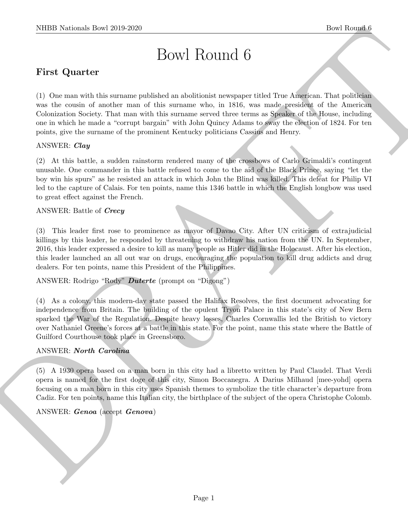# Bowl Round 6

# First Quarter

(1) One man with this surname published an abolitionist newspaper titled True American. That politician was the cousin of another man of this surname who, in 1816, was made president of the American Colonization Society. That man with this surname served three terms as Speaker of the House, including one in which he made a "corrupt bargain" with John Quincy Adams to sway the election of 1824. For ten points, give the surname of the prominent Kentucky politicians Cassius and Henry.

# ANSWER: Clay

(2) At this battle, a sudden rainstorm rendered many of the crossbows of Carlo Grimaldi's contingent unusable. One commander in this battle refused to come to the aid of the Black Prince, saying "let the boy win his spurs" as he resisted an attack in which John the Blind was killed. This defeat for Philip VI led to the capture of Calais. For ten points, name this 1346 battle in which the English longbow was used to great effect against the French.

## ANSWER: Battle of Crecy

(3) This leader first rose to prominence as mayor of Davao City. After UN criticism of extrajudicial killings by this leader, he responded by threatening to withdraw his nation from the UN. In September, 2016, this leader expressed a desire to kill as many people as Hitler did in the Holocaust. After his election, this leader launched an all out war on drugs, encouraging the population to kill drug addicts and drug dealers. For ten points, name this President of the Philippines.

# ANSWER: Rodrigo "Rody" Duterte (prompt on "Digong")

NIBB Noticeals how 2019-2020.<br>
Bowl Round G<br>
First Quarter <br>
First Quarter <br>
(b) One was with this summary<br>published as absolute mass are similar through a comparison of the American was the<br>same of the same of the measur (4) As a colony, this modern-day state passed the Halifax Resolves, the first document advocating for independence from Britain. The building of the opulent Tryon Palace in this state's city of New Bern sparked the War of the Regulation. Despite heavy losses, Charles Cornwallis led the British to victory over Nathaniel Greene's forces at a battle in this state. For the point, name this state where the Battle of Guilford Courthouse took place in Greensboro.

# ANSWER: North Carolina

(5) A 1930 opera based on a man born in this city had a libretto written by Paul Claudel. That Verdi opera is named for the first doge of this city, Simon Boccanegra. A Darius Milhaud [mee-yohd] opera focusing on a man born in this city uses Spanish themes to symbolize the title character's departure from Cadiz. For ten points, name this Italian city, the birthplace of the subject of the opera Christophe Colomb.

## ANSWER: Genoa (accept Genova)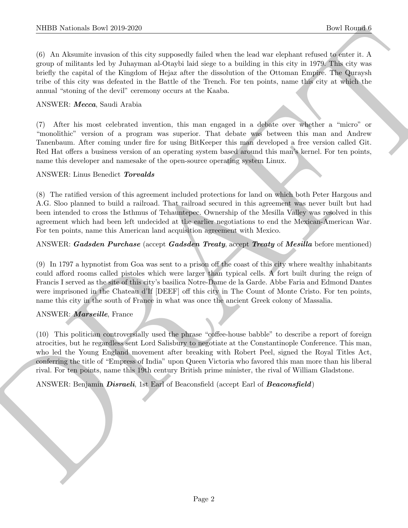(6) An Aksumite invasion of this city supposedly failed when the lead war elephant refused to enter it. A group of militants led by Juhayman al-Otaybi laid siege to a building in this city in 1979. This city was briefly the capital of the Kingdom of Hejaz after the dissolution of the Ottoman Empire. The Quraysh tribe of this city was defeated in the Battle of the Trench. For ten points, name this city at which the annual "stoning of the devil" ceremony occurs at the Kaaba.

#### ANSWER: Mecca, Saudi Arabia

(7) After his most celebrated invention, this man engaged in a debate over whether a "micro" or "monolithic" version of a program was superior. That debate was between this man and Andrew Tanenbaum. After coming under fire for using BitKeeper this man developed a free version called Git. Red Hat offers a business version of an operating system based around this man's kernel. For ten points, name this developer and namesake of the open-source operating system Linux.

#### ANSWER: Linus Benedict Torvalds

(8) The ratified version of this agreement included protections for land on which both Peter Hargous and A.G. Sloo planned to build a railroad. That railroad secured in this agreement was never built but had been intended to cross the Isthmus of Tehauntepec. Ownership of the Mesilla Valley was resolved in this agreement which had been left undecided at the earlier negotiations to end the Mexican-American War. For ten points, name this American land acquisition agreement with Mexico.

## ANSWER: Gadsden Purchase (accept Gadsden Treaty, accept Treaty of Mesilla before mentioned)

NIBB Noticeals how 2019-2020<br>
(a) Alakabaka involves of the circuit of the state state of the state and the state are dependent values of the state of the state of the state state of the state of the state of the state of (9) In 1797 a hypnotist from Goa was sent to a prison off the coast of this city where wealthy inhabitants could afford rooms called pistoles which were larger than typical cells. A fort built during the reign of Francis I served as the site of this city's basilica Notre-Dame de la Garde. Abbe Faria and Edmond Dantes were imprisoned in the Chateau d'If [DEEF] off this city in The Count of Monte Cristo. For ten points, name this city in the south of France in what was once the ancient Greek colony of Massalia.

## ANSWER: Marseille, France

(10) This politician controversially used the phrase "coffee-house babble" to describe a report of foreign atrocities, but he regardless sent Lord Salisbury to negotiate at the Constantinople Conference. This man, who led the Young England movement after breaking with Robert Peel, signed the Royal Titles Act, conferring the title of "Empress of India" upon Queen Victoria who favored this man more than his liberal rival. For ten points, name this 19th century British prime minister, the rival of William Gladstone.

## ANSWER: Benjamin *Disraeli*, 1st Earl of Beaconsfield (accept Earl of *Beaconsfield*)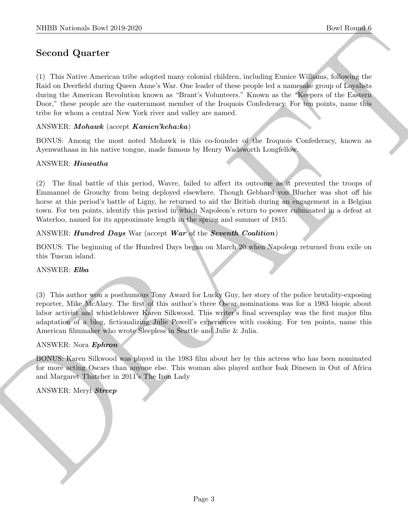# Second Quarter

NIBB Notional: Dow 2019-2020<br>
Second Quart for<br>
Coronal Download (1980)<br>
Second Quart for<br>
Consider a state with the state of the state of the state of the special of the state will also be<br>
for the best on between the co (1) This Native American tribe adopted many colonial children, including Eunice Williams, following the Raid on Deerfield during Queen Anne's War. One leader of these people led a namesake group of Loyalists during the American Revolution known as "Brant's Volunteers." Known as the "Keepers of the Eastern Door," these people are the easternmost member of the Iroquois Confederacy. For ten points, name this tribe for whom a central New York river and valley are named.

# ANSWER: Mohawk (accept Kanien'keha:ka)

BONUS: Among the most noted Mohawk is this co-founder of the Iroquois Confederacy, known as Ayenwathaaa in his native tongue, made famous by Henry Wadsworth Longfellow.

# ANSWER: Hiawatha

(2) The final battle of this period, Wavre, failed to affect its outcome as it prevented the troops of Emmanuel de Grouchy from being deployed elsewhere. Though Gebhard von Blucher was shot off his horse at this period's battle of Ligny, he returned to aid the British during an engagement in a Belgian town. For ten points, identify this period in which Napoleon's return to power culminated in a defeat at Waterloo, named for its approximate length in the spring and summer of 1815.

# ANSWER: Hundred Days War (accept War of the Seventh Coalition)

BONUS: The beginning of the Hundred Days began on March 20 when Napoleon returned from exile on this Tuscan island.

## ANSWER: Elba

(3) This author won a posthumous Tony Award for Lucky Guy, her story of the police brutality-exposing reporter, Mike McAlary. The first of this author's three Oscar nominations was for a 1983 biopic about labor activist and whistleblower Karen Silkwood. This writer's final screenplay was the first major film adaptation of a blog, fictionalizing Julie Powell's experiences with cooking. For ten points, name this American filmmaker who wrote Sleepless in Seattle and Julie & Julia.

## ANSWER: Nora Ephron

BONUS: Karen Silkwood was played in the 1983 film about her by this actress who has been nominated for more acting Oscars than anyone else. This woman also played author Isak Dinesen in Out of Africa and Margaret Thatcher in 2011's The Iron Lady

## ANSWER: Meryl Streep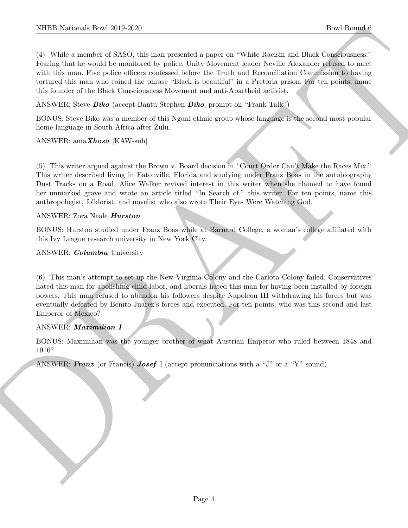NIBER Resinals, then 2019-2020.<br>
The Rounds of SS200, the main parented a point of While Resinant and Solvey Reserves the Constrainers of the Solvey Are the Solvey Reserves that the main Property of the constrainers of th (4) While a member of SASO, this man presented a paper on "White Racism and Black Consciousness." Fearing that he would be monitored by police, Unity Movement leader Neville Alexander refused to meet with this man. Five police officers confessed before the Truth and Reconciliation Commission to having tortured this man who coined the phrase "Black is beautiful" in a Pretoria prison. For ten points, name this founder of the Black Consciousness Movement and anti-Apartheid activist.

ANSWER: Steve *Biko* (accept Bantu Stephen *Biko*, prompt on "Frank Talk")

BONUS: Steve Biko was a member of this Nguni ethnic group whose language is the second most popular home language in South Africa after Zulu.

# ANSWER:  $\text{amaXhosa}$  [KAW-suh]

(5) This writer argued against the Brown v. Board decision in "Court Order Can't Make the Races Mix." This writer described living in Eatonville, Florida and studying under Franz Boas in the autobiography Dust Tracks on a Road. Alice Walker revived interest in this writer when she claimed to have found her unmarked grave and wrote an article titled "In Search of," this writer. For ten points, name this anthropologist, folklorist, and novelist who also wrote Their Eyes Were Watching God.

## ANSWER: Zora Neale Hurston

BONUS: Hurston studied under Franz Boas while at Barnard College, a woman's college affiliated with this Ivy League research university in New York City.

## ANSWER: Columbia University

(6) This man's attempt to set up the New Virginia Colony and the Carlota Colony failed. Conservatives hated this man for abolishing child labor, and liberals hated this man for having been installed by foreign powers. This man refused to abandon his followers despite Napoleon III withdrawing his forces but was eventually defeated by Benito Juarez's forces and executed. For ten points, who was this second and last Emperor of Mexico?

## ANSWER: Maximilian I

BONUS: Maximilian was the younger brother of what Austrian Emperor who ruled between 1848 and 1916?

ANSWER: Franz (or Francis) Josef I (accept pronunciations with a "J" or a "Y" sound)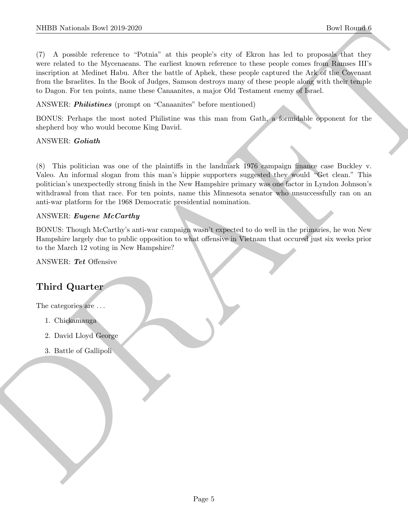NIBB Noticeals how 20:0.2220<br>
The Rounds of the System is the state of this product city of Earts has been one control Rounds<br>
(7) A possible ration is the state of the state of the state of the state of the system of the (7) A possible reference to "Potnia" at this people's city of Ekron has led to proposals that they were related to the Mycenaeans. The earliest known reference to these people comes from Ramses III's inscription at Medinet Habu. After the battle of Aphek, these people captured the Ark of the Covenant from the Israelites. In the Book of Judges, Samson destroys many of these people along with their temple to Dagon. For ten points, name these Canaanites, a major Old Testament enemy of Israel.

ANSWER: *Philistines* (prompt on "Canaanites" before mentioned)

BONUS: Perhaps the most noted Philistine was this man from Gath, a formidable opponent for the shepherd boy who would become King David.

#### ANSWER: Goliath

(8) This politician was one of the plaintiffs in the landmark 1976 campaign finance case Buckley v. Valeo. An informal slogan from this man's hippie supporters suggested they would "Get clean." This politician's unexpectedly strong finish in the New Hampshire primary was one factor in Lyndon Johnson's withdrawal from that race. For ten points, name this Minnesota senator who unsuccessfully ran on an anti-war platform for the 1968 Democratic presidential nomination.

#### ANSWER: Eugene McCarthy

BONUS: Though McCarthy's anti-war campaign wasn't expected to do well in the primaries, he won New Hampshire largely due to public opposition to what offensive in Vietnam that occured just six weeks prior to the March 12 voting in New Hampshire?

ANSWER: Tet Offensive

# Third Quarter

The categories are  $\dots$ 

- 1. Chickamauga
- 2. David Lloyd George
- 3. Battle of Gallipoli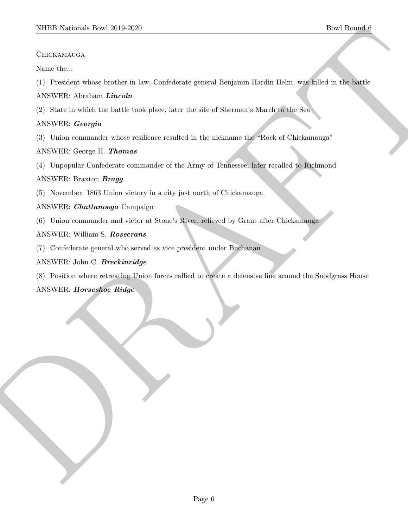## **CHICKAMAUGA**

Name the...

(1) President whose brother-in-law, Confederate general Benjamin Hardin Helm, was killed in the battle

# ANSWER: Abraham Lincoln

(2) State in which the battle took place, later the site of Sherman's March to the Sea

# ANSWER: Georgia

(3) Union commander whose resilience resulted in the nickname the "Rock of Chickamauga"

# ANSWER: George H. Thomas

(4) Unpopular Confederate commander of the Army of Tennessee, later recalled to Richmond

# ANSWER: Braxton Bragg

- (5) November, 1863 Union victory in a city just north of Chickamauga
- ANSWER: Chattanooga Campaign
- (6) Union commander and victor at Stone's River, relieved by Grant after Chickamauga
- ANSWER: William S. Rosecrans
- (7) Confederate general who served as vice president under Buchanan

# ANSWER: John C. Breckinridge

MIDD Notional: Dow 2019-2020<br>
Christiansacks<br>
Christiansacks<br>
Now the christian where bracket is low, Confidence general Designatic Hardin Helm, angle<br>
(1) President where the radio to the state of Successive Machinese 11. (8) Position where retreating Union forces rallied to create a defensive line around the Snodgrass House ANSWER: Horseshoe Ridge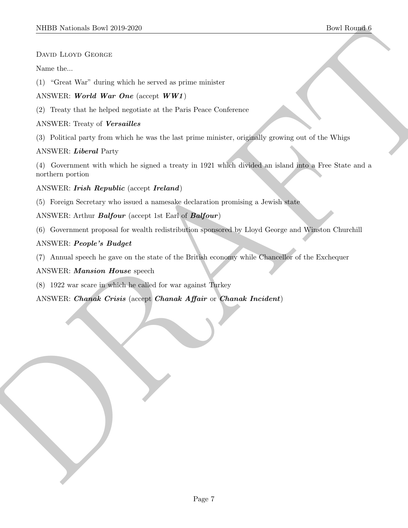# DAVID LLOYD GEORGE

## Name the...

(1) "Great War" during which he served as prime minister

# ANSWER: World War One (accept WW1)

(2) Treaty that he helped negotiate at the Paris Peace Conference

# ANSWER: Treaty of Versailles

(3) Political party from which he was the last prime minister, originally growing out of the Whigs

# ANSWER: Liberal Party

SIIDED Notionals There 2019 2020<br>
Down Latery Gronout<br>
New Latery Gronout<br>
Now Mark and principal into the second on prince services<br>
ANNERS: We now Mark and interdeffects that the prince services of the<br>
C 2. Theorems on (4) Government with which he signed a treaty in 1921 which divided an island into a Free State and a northern portion

# ANSWER: Irish Republic (accept Ireland)

(5) Foreign Secretary who issued a namesake declaration promising a Jewish state

ANSWER: Arthur *Balfour* (accept 1st Earl of *Balfour*)

(6) Government proposal for wealth redistribution sponsored by Lloyd George and Winston Churchill

# ANSWER: People's Budget

(7) Annual speech he gave on the state of the British economy while Chancellor of the Exchequer

## ANSWER: Mansion House speech

(8) 1922 war scare in which he called for war against Turkey

ANSWER: Chanak Crisis (accept Chanak Affair or Chanak Incident)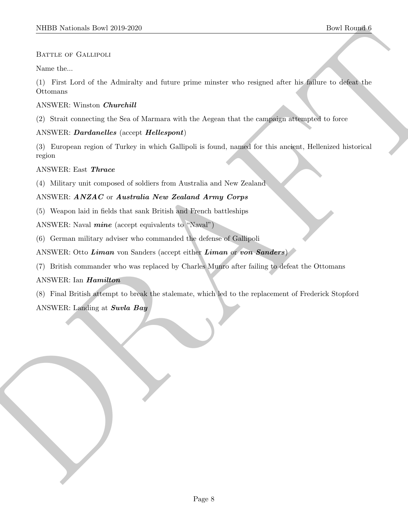## BATTLE OF GALLIPOLI

Name the...

(1) First Lord of the Admiralty and future prime minster who resigned after his failure to defeat the Ottomans

#### ANSWER: Winston Churchill

(2) Strait connecting the Sea of Marmara with the Aegean that the campaign attempted to force

## ANSWER: Dardanelles (accept Hellespont)

(3) European region of Turkey in which Gallipoli is found, named for this ancient, Hellenized historical region

#### ANSWER: East Thrace

(4) Military unit composed of soldiers from Australia and New Zealand

## ANSWER: ANZAC or Australia New Zealand Army Corps

(5) Weapon laid in fields that sank British and French battleships

ANSWER: Naval *mine* (accept equivalents to "Naval")

(6) German military adviser who commanded the defense of Gallipoli

ANSWER: Otto Liman von Sanders (accept either Liman or von Sanders)

(7) British commander who was replaced by Charles Munro after failing to defeat the Ottomans

## ANSWER: Ian Hamilton

NHBD Notional: Download and the state of the state of the state of the state of the state of the state of the state of the state of the state of the state of the state of the state of the state of the state of the state o (8) Final British attempt to break the stalemate, which led to the replacement of Frederick Stopford ANSWER: Landing at Suvla Bay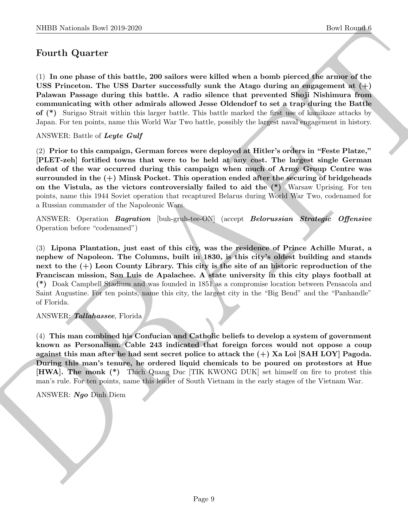# Fourth Quarter

(1) In one phase of this battle, 200 sailors were killed when a bomb pierced the armor of the USS Princeton. The USS Darter successfully sunk the Atago during an engagement at  $(+)$ Palawan Passage during this battle. A radio silence that prevented Shoji Nishimura from communicating with other admirals allowed Jesse Oldendorf to set a trap during the Battle of (\*) Surigao Strait within this larger battle. This battle marked the first use of kamikaze attacks by Japan. For ten points, name this World War Two battle, possibly the largest naval engagement in history.

ANSWER: Battle of Leyte Gulf

(2) Prior to this campaign, German forces were deployed at Hitler's orders in "Feste Platze," [PLET-zeh] fortified towns that were to be held at any cost. The largest single German defeat of the war occurred during this campaign when much of Army Group Centre was surrounded in the  $(+)$  Minsk Pocket. This operation ended after the securing of bridgeheads on the Vistula, as the victors controversially failed to aid the  $(*)$  Warsaw Uprising. For ten points, name this 1944 Soviet operation that recaptured Belarus during World War Two, codenamed for a Russian commander of the Napoleonic Wars.

ANSWER: Operation Bagration [buh-gruh-tee-ON] (accept Belorussian Strategic Offensive Operation before "codenamed")

NIBE Noticeal: Lost 2019 2262<br>
Doet Boundal (1972)<br>
Doet Boundal (1972)<br>
2011 11 Quartier<br>
C U and phase of this battle, 200 salices serve killed where a boundary<br>
2012 11 C and the U and Solice Serve in the constraint of (3) Lipona Plantation, just east of this city, was the residence of Prince Achille Murat, a nephew of Napoleon. The Columns, built in 1830, is this city's oldest building and stands next to the (+) Leon County Library. This city is the site of an historic reproduction of the Franciscan mission, San Luis de Apalachee. A state university in this city plays football at (\*) Doak Campbell Stadium and was founded in 1851 as a compromise location between Pensacola and Saint Augustine. For ten points, name this city, the largest city in the "Big Bend" and the "Panhandle" of Florida.

ANSWER: Tallahassee, Florida

(4) This man combined his Confucian and Catholic beliefs to develop a system of government known as Personalism. Cable 243 indicated that foreign forces would not oppose a coup against this man after he had sent secret police to attack the  $(+)$  Xa Loi [SAH LOY] Pagoda. During this man's tenure, he ordered liquid chemicals to be poured on protestors at Hue [HWA]. The monk (\*) Thich Quang Duc [TIK KWONG DUK] set himself on fire to protest this man's rule. For ten points, name this leader of South Vietnam in the early stages of the Vietnam War.

ANSWER: Ngo Dinh Diem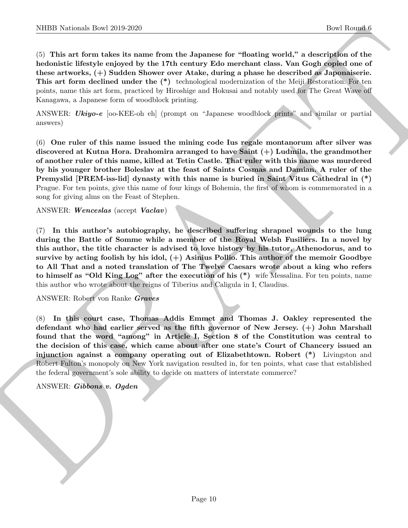(5) This art form takes its name from the Japanese for "floating world," a description of the hedonistic lifestyle enjoyed by the 17th century Edo merchant class. Van Gogh copied one of these artworks, (+) Sudden Shower over Atake, during a phase he described as Japonaiserie. This art form declined under the (\*) technological modernization of the Meiji Restoration. For ten points, name this art form, practiced by Hiroshige and Hokusai and notably used for The Great Wave off Kanagawa, a Japanese form of woodblock printing.

ANSWER: Ukiyo-e [oo-KEE-oh eh] (prompt on "Japanese woodblock prints" and similar or partial answers)

(6) One ruler of this name issued the mining code Ius regale montanorum after silver was discovered at Kutna Hora. Drahomira arranged to have Saint (+) Ludmila, the grandmother of another ruler of this name, killed at Tetin Castle. That ruler with this name was murdered by his younger brother Boleslav at the feast of Saints Cosmas and Damian. A ruler of the Premyslid [PREM-iss-lid] dynasty with this name is buried in Saint Vitus Cathedral in (\*) Prague. For ten points, give this name of four kings of Bohemia, the first of whom is commemorated in a song for giving alms on the Feast of Stephen.

ANSWER: Wenceslas (accept Vaclav)

NIBB Noticeals how 2019 2620<br>
Contains from the Japanese for "Unstain words" a focolar form of the Hamilton School (a) This are found by the ratio of the second and the second and the form of the second and the second and (7) In this author's autobiography, he described suffering shrapnel wounds to the lung during the Battle of Somme while a member of the Royal Welsh Fusiliers. In a novel by this author, the title character is advised to love history by his tutor, Athenodorus, and to survive by acting foolish by his idol,  $(+)$  Asinius Pollio. This author of the memoir Goodbye to All That and a noted translation of The Twelve Caesars wrote about a king who refers to himself as "Old King Log" after the execution of his (\*) wife Messalina. For ten points, name this author who wrote about the reigns of Tiberius and Caligula in I, Claudius.

ANSWER: Robert von Ranke Graves

(8) In this court case, Thomas Addis Emmet and Thomas J. Oakley represented the defendant who had earlier served as the fifth governor of New Jersey. (+) John Marshall found that the word "among" in Article I, Section 8 of the Constitution was central to the decision of this case, which came about after one state's Court of Chancery issued an injunction against a company operating out of Elizabethtown. Robert (\*) Livingston and Robert Fulton's monopoly on New York navigation resulted in, for ten points, what case that established the federal government's sole ability to decide on matters of interstate commerce?

ANSWER: Gibbons v. Ogden